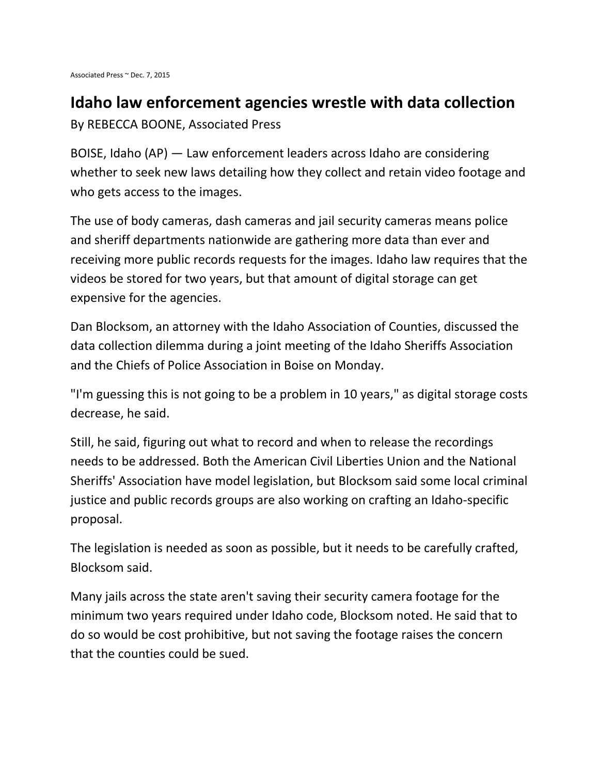## **Idaho law enforcement agencies wrestle with data collection**

By REBECCA BOONE, Associated Press

BOISE, Idaho (AP) — Law enforcement leaders across Idaho are considering whether to seek new laws detailing how they collect and retain video footage and who gets access to the images.

The use of body cameras, dash cameras and jail security cameras means police and sheriff departments nationwide are gathering more data than ever and receiving more public records requests for the images. Idaho law requires that the videos be stored for two years, but that amount of digital storage can get expensive for the agencies.

Dan Blocksom, an attorney with the Idaho Association of Counties, discussed the data collection dilemma during a joint meeting of the Idaho Sheriffs Association and the Chiefs of Police Association in Boise on Monday.

"I'm guessing this is not going to be a problem in 10 years," as digital storage costs decrease, he said.

Still, he said, figuring out what to record and when to release the recordings needs to be addressed. Both the American Civil Liberties Union and the National Sheriffs' Association have model legislation, but Blocksom said some local criminal justice and public records groups are also working on crafting an Idaho-specific proposal.

The legislation is needed as soon as possible, but it needs to be carefully crafted, Blocksom said.

Many jails across the state aren't saving their security camera footage for the minimum two years required under Idaho code, Blocksom noted. He said that to do so would be cost prohibitive, but not saving the footage raises the concern that the counties could be sued.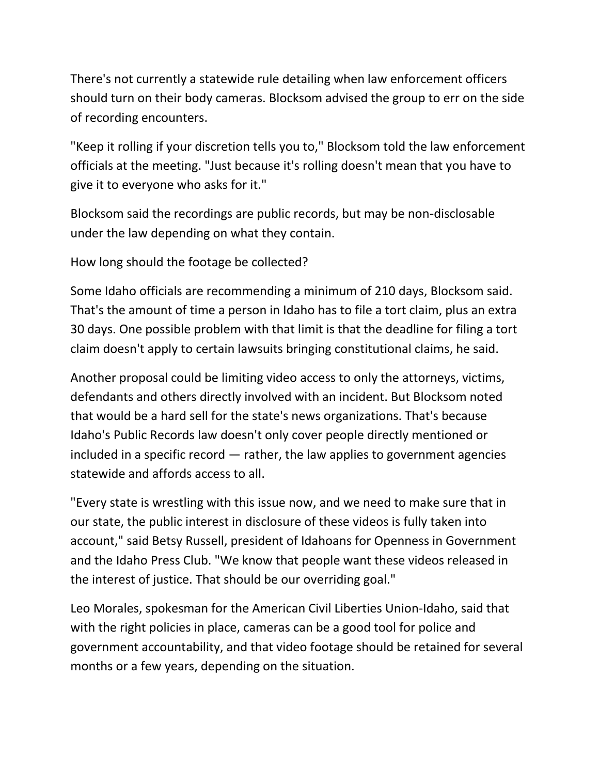There's not currently a statewide rule detailing when law enforcement officers should turn on their body cameras. Blocksom advised the group to err on the side of recording encounters.

"Keep it rolling if your discretion tells you to," Blocksom told the law enforcement officials at the meeting. "Just because it's rolling doesn't mean that you have to give it to everyone who asks for it."

Blocksom said the recordings are public records, but may be non-disclosable under the law depending on what they contain.

How long should the footage be collected?

Some Idaho officials are recommending a minimum of 210 days, Blocksom said. That's the amount of time a person in Idaho has to file a tort claim, plus an extra 30 days. One possible problem with that limit is that the deadline for filing a tort claim doesn't apply to certain lawsuits bringing constitutional claims, he said.

Another proposal could be limiting video access to only the attorneys, victims, defendants and others directly involved with an incident. But Blocksom noted that would be a hard sell for the state's news organizations. That's because Idaho's Public Records law doesn't only cover people directly mentioned or included in a specific record — rather, the law applies to government agencies statewide and affords access to all.

"Every state is wrestling with this issue now, and we need to make sure that in our state, the public interest in disclosure of these videos is fully taken into account," said Betsy Russell, president of Idahoans for Openness in Government and the Idaho Press Club. "We know that people want these videos released in the interest of justice. That should be our overriding goal."

Leo Morales, spokesman for the American Civil Liberties Union-Idaho, said that with the right policies in place, cameras can be a good tool for police and government accountability, and that video footage should be retained for several months or a few years, depending on the situation.